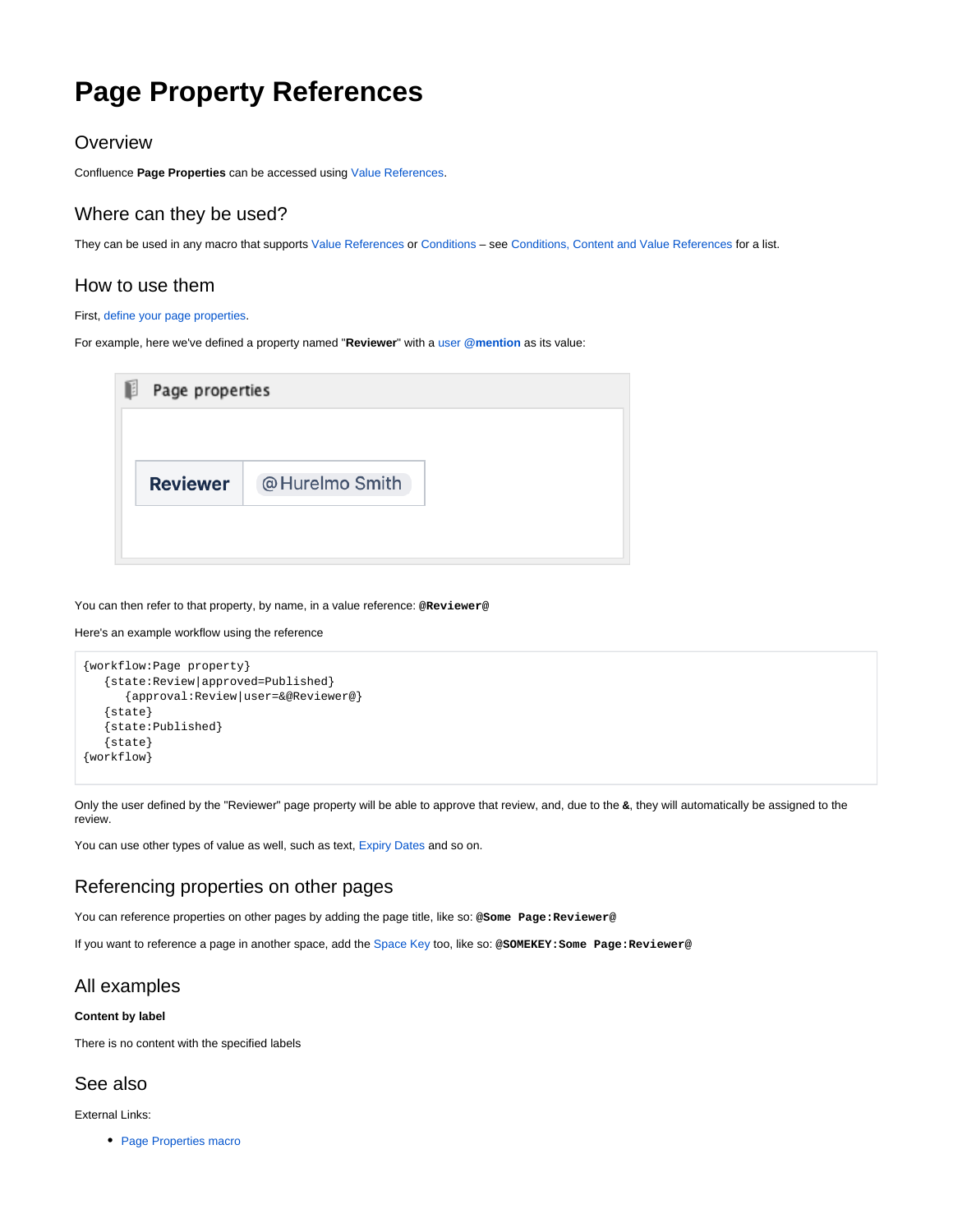# **Page Property References**

## **Overview**

Confluence **Page Properties** can be accessed using [Value References](https://wiki.comalatech.com/display/CDML/Value+References).

## Where can they be used?

They can be used in any macro that supports [Value References](https://wiki.comalatech.com/display/CDML/Value+References) or [Conditions](https://wiki.comalatech.com/display/CDML/Conditions) – see [Conditions, Content and Value References](https://wiki.comalatech.com/display/CDML/Conditions%2C+Content+and+Value+References) for a list.

## How to use them

#### First, [define your page properties](https://confluence.atlassian.com/doc/page-properties-macro-184550024.html).

For example, here we've defined a property named "**Reviewer**" with a user **[@mention](https://confluence.atlassian.com/doc/mentions-251725350.html)** as its value:

| @Hurelmo Smith |
|----------------|
|                |
|                |

You can then refer to that property, by name, in a value reference: **@Reviewer@**

#### Here's an example workflow using the reference

```
{workflow:Page property}
    {state:Review|approved=Published}
       {approval:Review|user=&@Reviewer@}
    {state}
    {state:Published}
    {state}
{workflow}
```
Only the user defined by the "Reviewer" page property will be able to approve that review, and, due to the **&**, they will automatically be assigned to the review.

You can use other types of value as well, such as text, [Expiry Dates](https://wiki.comalatech.com/display/CDML/Expiry+Dates) and so on.

## Referencing properties on other pages

You can reference properties on other pages by adding the page title, like so: **@Some Page:Reviewer@**

If you want to reference a page in another space, add the [Space Key](https://confluence.atlassian.com/doc/space-keys-829076188.html) too, like so: **@SOMEKEY:Some Page:Reviewer@**

### All examples

#### **Content by label**

There is no content with the specified labels

## See also

External Links:

• [Page Properties macro](https://confluence.atlassian.com/doc/page-properties-macro-184550024.html)